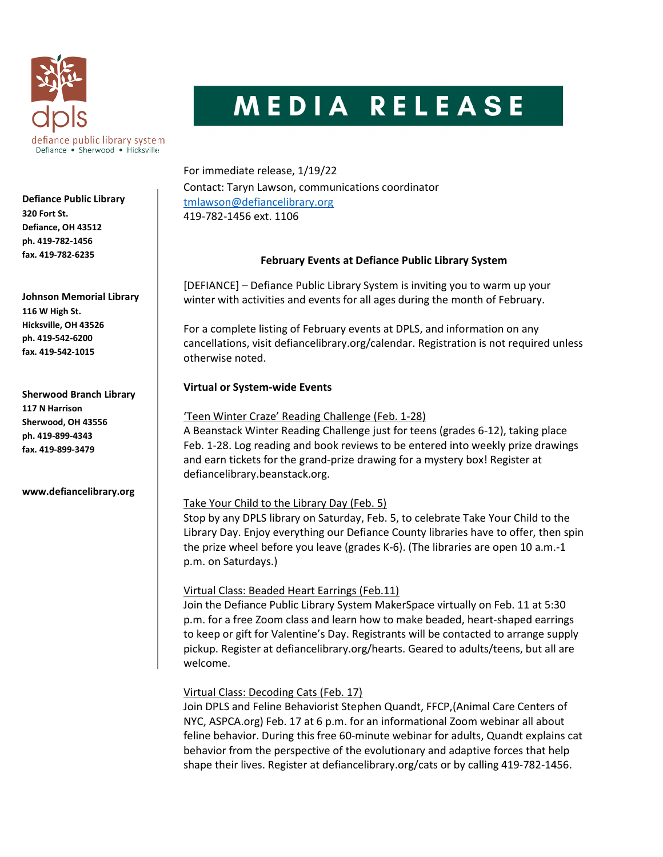

# MEDIA RELEASE

For immediate release, 1/19/22 Contact: Taryn Lawson, communications coordinator tmlawson@defiancelibrary.org 419-782-1456 ext. 1106

## February Events at Defiance Public Library System

[DEFIANCE] – Defiance Public Library System is inviting you to warm up your winter with activities and events for all ages during the month of February.

For a complete listing of February events at DPLS, and information on any cancellations, visit defiancelibrary.org/calendar. Registration is not required unless otherwise noted.

# Virtual or System-wide Events

## 'Teen Winter Craze' Reading Challenge (Feb. 1-28)

A Beanstack Winter Reading Challenge just for teens (grades 6-12), taking place Feb. 1-28. Log reading and book reviews to be entered into weekly prize drawings and earn tickets for the grand-prize drawing for a mystery box! Register at defiancelibrary.beanstack.org.

# Take Your Child to the Library Day (Feb. 5)

Stop by any DPLS library on Saturday, Feb. 5, to celebrate Take Your Child to the Library Day. Enjoy everything our Defiance County libraries have to offer, then spin the prize wheel before you leave (grades K-6). (The libraries are open 10 a.m.-1 p.m. on Saturdays.)

# Virtual Class: Beaded Heart Earrings (Feb.11)

Join the Defiance Public Library System MakerSpace virtually on Feb. 11 at 5:30 p.m. for a free Zoom class and learn how to make beaded, heart-shaped earrings to keep or gift for Valentine's Day. Registrants will be contacted to arrange supply pickup. Register at defiancelibrary.org/hearts. Geared to adults/teens, but all are welcome.

# Virtual Class: Decoding Cats (Feb. 17)

Join DPLS and Feline Behaviorist Stephen Quandt, FFCP,(Animal Care Centers of NYC, ASPCA.org) Feb. 17 at 6 p.m. for an informational Zoom webinar all about feline behavior. During this free 60-minute webinar for adults, Quandt explains cat behavior from the perspective of the evolutionary and adaptive forces that help shape their lives. Register at defiancelibrary.org/cats or by calling 419-782-1456.

Defiance Public Library 320 Fort St. Defiance, OH 43512 ph. 419-782-1456 fax. 419-782-6235

Johnson Memorial Library 116 W High St. Hicksville, OH 43526 ph. 419-542-6200 fax. 419-542-1015

Sherwood Branch Library 117 N Harrison Sherwood, OH 43556 ph. 419-899-4343 fax. 419-899-3479

www.defiancelibrary.org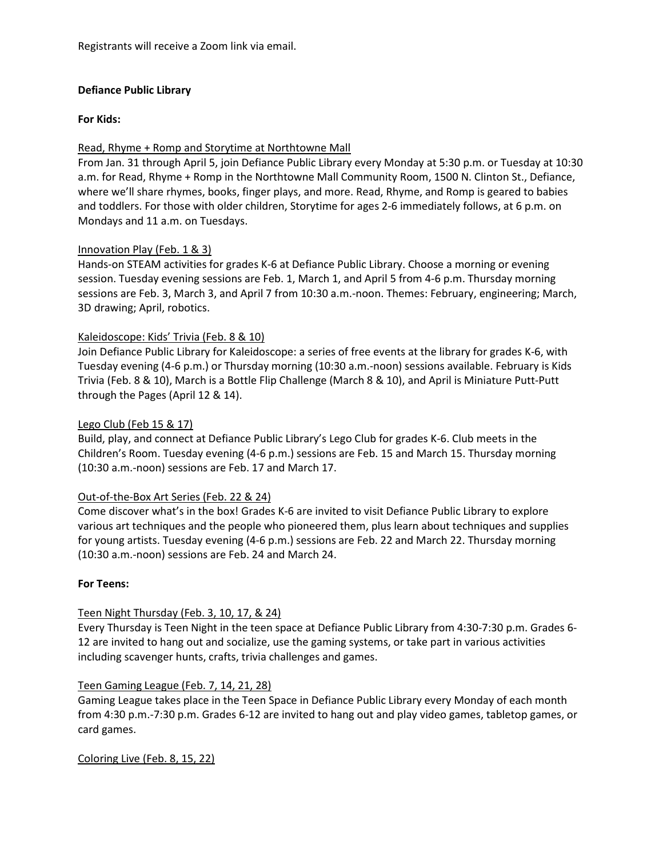Registrants will receive a Zoom link via email.

## Defiance Public Library

#### For Kids:

## Read, Rhyme + Romp and Storytime at Northtowne Mall

From Jan. 31 through April 5, join Defiance Public Library every Monday at 5:30 p.m. or Tuesday at 10:30 a.m. for Read, Rhyme + Romp in the Northtowne Mall Community Room, 1500 N. Clinton St., Defiance, where we'll share rhymes, books, finger plays, and more. Read, Rhyme, and Romp is geared to babies and toddlers. For those with older children, Storytime for ages 2-6 immediately follows, at 6 p.m. on Mondays and 11 a.m. on Tuesdays.

#### Innovation Play (Feb. 1 & 3)

Hands-on STEAM activities for grades K-6 at Defiance Public Library. Choose a morning or evening session. Tuesday evening sessions are Feb. 1, March 1, and April 5 from 4-6 p.m. Thursday morning sessions are Feb. 3, March 3, and April 7 from 10:30 a.m.-noon. Themes: February, engineering; March, 3D drawing; April, robotics.

## Kaleidoscope: Kids' Trivia (Feb. 8 & 10)

Join Defiance Public Library for Kaleidoscope: a series of free events at the library for grades K-6, with Tuesday evening (4-6 p.m.) or Thursday morning (10:30 a.m.-noon) sessions available. February is Kids Trivia (Feb. 8 & 10), March is a Bottle Flip Challenge (March 8 & 10), and April is Miniature Putt-Putt through the Pages (April 12 & 14).

#### Lego Club (Feb 15 & 17)

Build, play, and connect at Defiance Public Library's Lego Club for grades K-6. Club meets in the Children's Room. Tuesday evening (4-6 p.m.) sessions are Feb. 15 and March 15. Thursday morning (10:30 a.m.-noon) sessions are Feb. 17 and March 17.

#### Out-of-the-Box Art Series (Feb. 22 & 24)

Come discover what's in the box! Grades K-6 are invited to visit Defiance Public Library to explore various art techniques and the people who pioneered them, plus learn about techniques and supplies for young artists. Tuesday evening (4-6 p.m.) sessions are Feb. 22 and March 22. Thursday morning (10:30 a.m.-noon) sessions are Feb. 24 and March 24.

#### For Teens:

## Teen Night Thursday (Feb. 3, 10, 17, & 24)

Every Thursday is Teen Night in the teen space at Defiance Public Library from 4:30-7:30 p.m. Grades 6- 12 are invited to hang out and socialize, use the gaming systems, or take part in various activities including scavenger hunts, crafts, trivia challenges and games.

#### Teen Gaming League (Feb. 7, 14, 21, 28)

Gaming League takes place in the Teen Space in Defiance Public Library every Monday of each month from 4:30 p.m.-7:30 p.m. Grades 6-12 are invited to hang out and play video games, tabletop games, or card games.

Coloring Live (Feb. 8, 15, 22)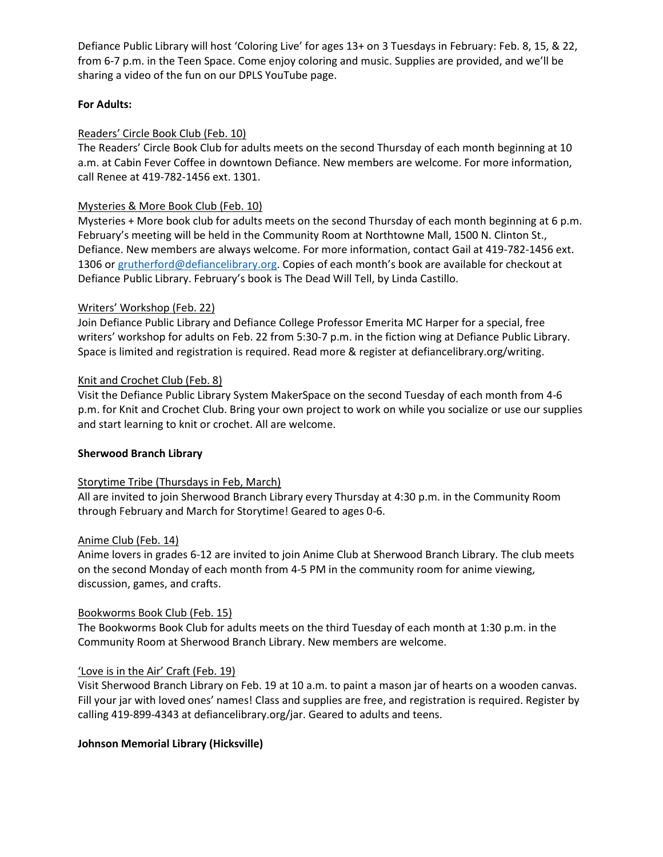Defiance Public Library will host 'Coloring Live' for ages 13+ on 3 Tuesdays in February: Feb. 8, 15, & 22, from 6-7 p.m. in the Teen Space. Come enjoy coloring and music. Supplies are provided, and we'll be sharing a video of the fun on our DPLS YouTube page.

## For Adults:

## Readers' Circle Book Club (Feb. 10)

The Readers' Circle Book Club for adults meets on the second Thursday of each month beginning at 10 a.m. at Cabin Fever Coffee in downtown Defiance. New members are welcome. For more information, call Renee at 419-782-1456 ext. 1301.

## Mysteries & More Book Club (Feb. 10)

Mysteries + More book club for adults meets on the second Thursday of each month beginning at 6 p.m. February's meeting will be held in the Community Room at Northtowne Mall, 1500 N. Clinton St., Defiance. New members are always welcome. For more information, contact Gail at 419-782-1456 ext. 1306 or grutherford@defiancelibrary.org. Copies of each month's book are available for checkout at Defiance Public Library. February's book is The Dead Will Tell, by Linda Castillo.

## Writers' Workshop (Feb. 22)

Join Defiance Public Library and Defiance College Professor Emerita MC Harper for a special, free writers' workshop for adults on Feb. 22 from 5:30-7 p.m. in the fiction wing at Defiance Public Library. Space is limited and registration is required. Read more & register at defiancelibrary.org/writing.

## Knit and Crochet Club (Feb. 8)

Visit the Defiance Public Library System MakerSpace on the second Tuesday of each month from 4-6 p.m. for Knit and Crochet Club. Bring your own project to work on while you socialize or use our supplies and start learning to knit or crochet. All are welcome.

## Sherwood Branch Library

## Storytime Tribe (Thursdays in Feb, March)

All are invited to join Sherwood Branch Library every Thursday at 4:30 p.m. in the Community Room through February and March for Storytime! Geared to ages 0-6.

## Anime Club (Feb. 14)

Anime lovers in grades 6-12 are invited to join Anime Club at Sherwood Branch Library. The club meets on the second Monday of each month from 4-5 PM in the community room for anime viewing, discussion, games, and crafts.

## Bookworms Book Club (Feb. 15)

The Bookworms Book Club for adults meets on the third Tuesday of each month at 1:30 p.m. in the Community Room at Sherwood Branch Library. New members are welcome.

## 'Love is in the Air' Craft (Feb. 19)

Visit Sherwood Branch Library on Feb. 19 at 10 a.m. to paint a mason jar of hearts on a wooden canvas. Fill your jar with loved ones' names! Class and supplies are free, and registration is required. Register by calling 419-899-4343 at defiancelibrary.org/jar. Geared to adults and teens.

# Johnson Memorial Library (Hicksville)